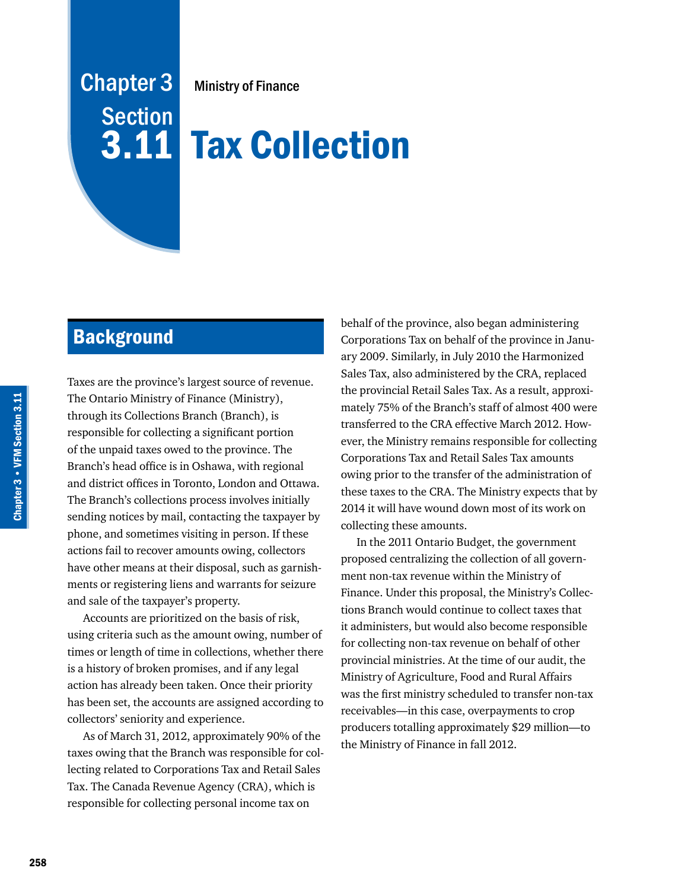# Chapter 3 **Section** 3.11

Ministry of Finance

# Tax Collection

# **Background**

Taxes are the province's largest source of revenue. The Ontario Ministry of Finance (Ministry), through its Collections Branch (Branch), is responsible for collecting a significant portion of the unpaid taxes owed to the province. The Branch's head office is in Oshawa, with regional and district offices in Toronto, London and Ottawa. The Branch's collections process involves initially sending notices by mail, contacting the taxpayer by phone, and sometimes visiting in person. If these actions fail to recover amounts owing, collectors have other means at their disposal, such as garnishments or registering liens and warrants for seizure and sale of the taxpayer's property.

Accounts are prioritized on the basis of risk, using criteria such as the amount owing, number of times or length of time in collections, whether there is a history of broken promises, and if any legal action has already been taken. Once their priority has been set, the accounts are assigned according to collectors' seniority and experience.

As of March 31, 2012, approximately 90% of the taxes owing that the Branch was responsible for collecting related to Corporations Tax and Retail Sales Tax. The Canada Revenue Agency (CRA), which is responsible for collecting personal income tax on

behalf of the province, also began administering Corporations Tax on behalf of the province in January 2009. Similarly, in July 2010 the Harmonized Sales Tax, also administered by the CRA, replaced the provincial Retail Sales Tax. As a result, approximately 75% of the Branch's staff of almost 400 were transferred to the CRA effective March 2012. However, the Ministry remains responsible for collecting Corporations Tax and Retail Sales Tax amounts owing prior to the transfer of the administration of these taxes to the CRA. The Ministry expects that by 2014 it will have wound down most of its work on collecting these amounts.

In the 2011 Ontario Budget, the government proposed centralizing the collection of all government non-tax revenue within the Ministry of Finance. Under this proposal, the Ministry's Collections Branch would continue to collect taxes that it administers, but would also become responsible for collecting non-tax revenue on behalf of other provincial ministries. At the time of our audit, the Ministry of Agriculture, Food and Rural Affairs was the first ministry scheduled to transfer non-tax receivables—in this case, overpayments to crop producers totalling approximately \$29 million—to the Ministry of Finance in fall 2012.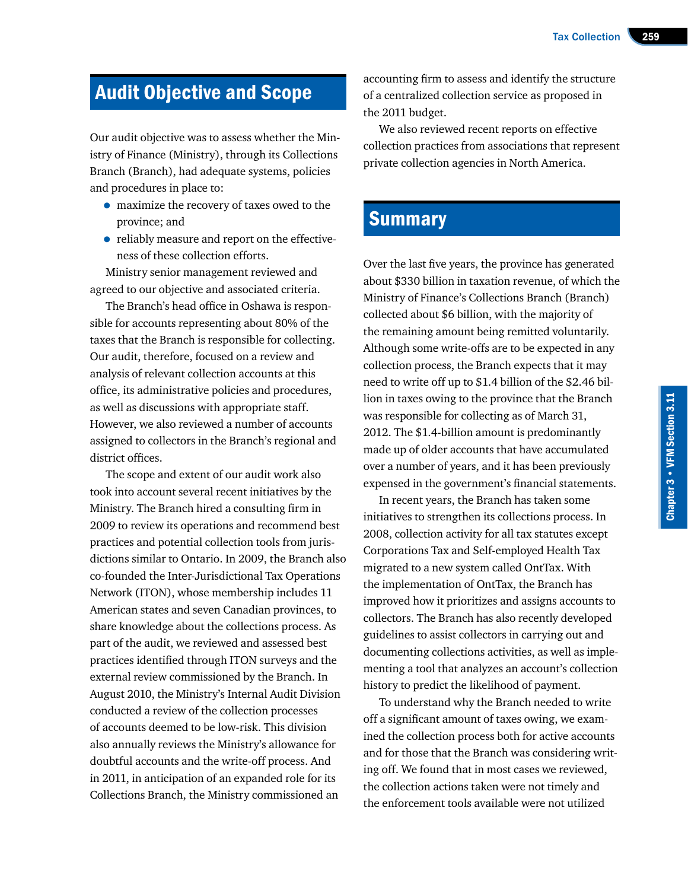# Audit Objective and Scope

Our audit objective was to assess whether the Ministry of Finance (Ministry), through its Collections Branch (Branch), had adequate systems, policies and procedures in place to:

- maximize the recovery of taxes owed to the province; and
- reliably measure and report on the effectiveness of these collection efforts.

Ministry senior management reviewed and agreed to our objective and associated criteria.

The Branch's head office in Oshawa is responsible for accounts representing about 80% of the taxes that the Branch is responsible for collecting. Our audit, therefore, focused on a review and analysis of relevant collection accounts at this office, its administrative policies and procedures, as well as discussions with appropriate staff. However, we also reviewed a number of accounts assigned to collectors in the Branch's regional and district offices.

The scope and extent of our audit work also took into account several recent initiatives by the Ministry. The Branch hired a consulting firm in 2009 to review its operations and recommend best practices and potential collection tools from jurisdictions similar to Ontario. In 2009, the Branch also co-founded the Inter-Jurisdictional Tax Operations Network (ITON), whose membership includes 11 American states and seven Canadian provinces, to share knowledge about the collections process. As part of the audit, we reviewed and assessed best practices identified through ITON surveys and the external review commissioned by the Branch. In August 2010, the Ministry's Internal Audit Division conducted a review of the collection processes of accounts deemed to be low-risk. This division also annually reviews the Ministry's allowance for doubtful accounts and the write-off process. And in 2011, in anticipation of an expanded role for its Collections Branch, the Ministry commissioned an

accounting firm to assess and identify the structure of a centralized collection service as proposed in the 2011 budget.

We also reviewed recent reports on effective collection practices from associations that represent private collection agencies in North America.

# **Summary**

Over the last five years, the province has generated about \$330 billion in taxation revenue, of which the Ministry of Finance's Collections Branch (Branch) collected about \$6 billion, with the majority of the remaining amount being remitted voluntarily. Although some write-offs are to be expected in any collection process, the Branch expects that it may need to write off up to \$1.4 billion of the \$2.46 billion in taxes owing to the province that the Branch was responsible for collecting as of March 31, 2012. The \$1.4-billion amount is predominantly made up of older accounts that have accumulated over a number of years, and it has been previously expensed in the government's financial statements.

In recent years, the Branch has taken some initiatives to strengthen its collections process. In 2008, collection activity for all tax statutes except Corporations Tax and Self-employed Health Tax migrated to a new system called OntTax. With the implementation of OntTax, the Branch has improved how it prioritizes and assigns accounts to collectors. The Branch has also recently developed guidelines to assist collectors in carrying out and documenting collections activities, as well as implementing a tool that analyzes an account's collection history to predict the likelihood of payment.

To understand why the Branch needed to write off a significant amount of taxes owing, we examined the collection process both for active accounts and for those that the Branch was considering writing off. We found that in most cases we reviewed, the collection actions taken were not timely and the enforcement tools available were not utilized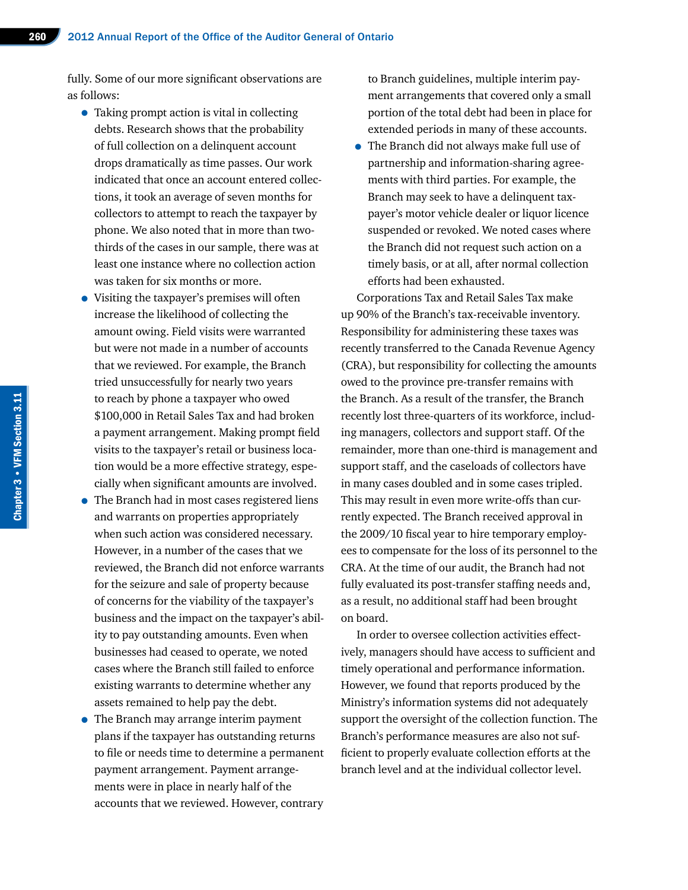fully. Some of our more significant observations are as follows:

- Taking prompt action is vital in collecting debts. Research shows that the probability of full collection on a delinquent account drops dramatically as time passes. Our work indicated that once an account entered collections, it took an average of seven months for collectors to attempt to reach the taxpayer by phone. We also noted that in more than twothirds of the cases in our sample, there was at least one instance where no collection action was taken for six months or more.
- Visiting the taxpayer's premises will often increase the likelihood of collecting the amount owing. Field visits were warranted but were not made in a number of accounts that we reviewed. For example, the Branch tried unsuccessfully for nearly two years to reach by phone a taxpayer who owed \$100,000 in Retail Sales Tax and had broken a payment arrangement. Making prompt field visits to the taxpayer's retail or business location would be a more effective strategy, especially when significant amounts are involved.
- The Branch had in most cases registered liens and warrants on properties appropriately when such action was considered necessary. However, in a number of the cases that we reviewed, the Branch did not enforce warrants for the seizure and sale of property because of concerns for the viability of the taxpayer's business and the impact on the taxpayer's ability to pay outstanding amounts. Even when businesses had ceased to operate, we noted cases where the Branch still failed to enforce existing warrants to determine whether any assets remained to help pay the debt.
- The Branch may arrange interim payment plans if the taxpayer has outstanding returns to file or needs time to determine a permanent payment arrangement. Payment arrangements were in place in nearly half of the accounts that we reviewed. However, contrary

to Branch guidelines, multiple interim payment arrangements that covered only a small portion of the total debt had been in place for extended periods in many of these accounts.

• The Branch did not always make full use of partnership and information-sharing agreements with third parties. For example, the Branch may seek to have a delinquent taxpayer's motor vehicle dealer or liquor licence suspended or revoked. We noted cases where the Branch did not request such action on a timely basis, or at all, after normal collection efforts had been exhausted.

Corporations Tax and Retail Sales Tax make up 90% of the Branch's tax-receivable inventory. Responsibility for administering these taxes was recently transferred to the Canada Revenue Agency (CRA), but responsibility for collecting the amounts owed to the province pre-transfer remains with the Branch. As a result of the transfer, the Branch recently lost three-quarters of its workforce, including managers, collectors and support staff. Of the remainder, more than one-third is management and support staff, and the caseloads of collectors have in many cases doubled and in some cases tripled. This may result in even more write-offs than currently expected. The Branch received approval in the 2009/10 fiscal year to hire temporary employees to compensate for the loss of its personnel to the CRA. At the time of our audit, the Branch had not fully evaluated its post-transfer staffing needs and, as a result, no additional staff had been brought on board.

In order to oversee collection activities effectively, managers should have access to sufficient and timely operational and performance information. However, we found that reports produced by the Ministry's information systems did not adequately support the oversight of the collection function. The Branch's performance measures are also not sufficient to properly evaluate collection efforts at the branch level and at the individual collector level.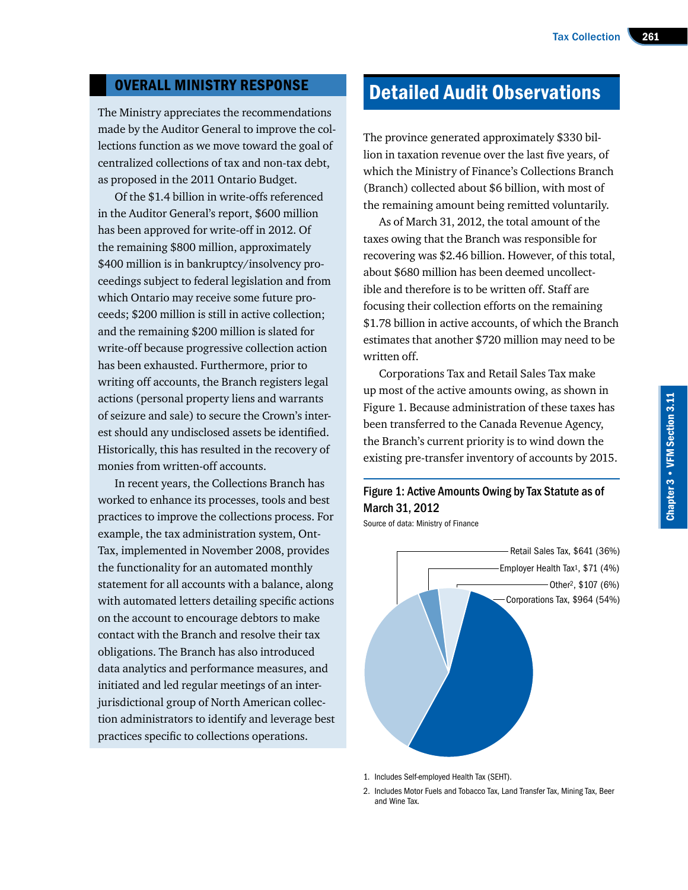# OVERALL MINISTRY RESPONSE

The Ministry appreciates the recommendations made by the Auditor General to improve the collections function as we move toward the goal of centralized collections of tax and non-tax debt, as proposed in the 2011 Ontario Budget.

Of the \$1.4 billion in write-offs referenced in the Auditor General's report, \$600 million has been approved for write-off in 2012. Of the remaining \$800 million, approximately \$400 million is in bankruptcy/insolvency proceedings subject to federal legislation and from which Ontario may receive some future proceeds; \$200 million is still in active collection; and the remaining \$200 million is slated for write-off because progressive collection action has been exhausted. Furthermore, prior to writing off accounts, the Branch registers legal actions (personal property liens and warrants of seizure and sale) to secure the Crown's interest should any undisclosed assets be identified. Historically, this has resulted in the recovery of monies from written-off accounts.

In recent years, the Collections Branch has worked to enhance its processes, tools and best practices to improve the collections process. For example, the tax administration system, Ont-Tax, implemented in November 2008, provides the functionality for an automated monthly statement for all accounts with a balance, along with automated letters detailing specific actions on the account to encourage debtors to make contact with the Branch and resolve their tax obligations. The Branch has also introduced data analytics and performance measures, and initiated and led regular meetings of an interjurisdictional group of North American collection administrators to identify and leverage best practices specific to collections operations.

# Detailed Audit Observations

The province generated approximately \$330 billion in taxation revenue over the last five years, of which the Ministry of Finance's Collections Branch (Branch) collected about \$6 billion, with most of the remaining amount being remitted voluntarily.

As of March 31, 2012, the total amount of the taxes owing that the Branch was responsible for recovering was \$2.46 billion. However, of this total, about \$680 million has been deemed uncollectible and therefore is to be written off. Staff are focusing their collection efforts on the remaining \$1.78 billion in active accounts, of which the Branch estimates that another \$720 million may need to be written off.

Corporations Tax and Retail Sales Tax make up most of the active amounts owing, as shown in Figure 1. Because administration of these taxes has been transferred to the Canada Revenue Agency, the Branch's current priority is to wind down the existing pre-transfer inventory of accounts by 2015.



Source of data: Ministry of Finance



1. Includes Self-employed Health Tax (SEHT).

2. Includes Motor Fuels and Tobacco Tax, Land Transfer Tax, Mining Tax, Beer and Wine Tax.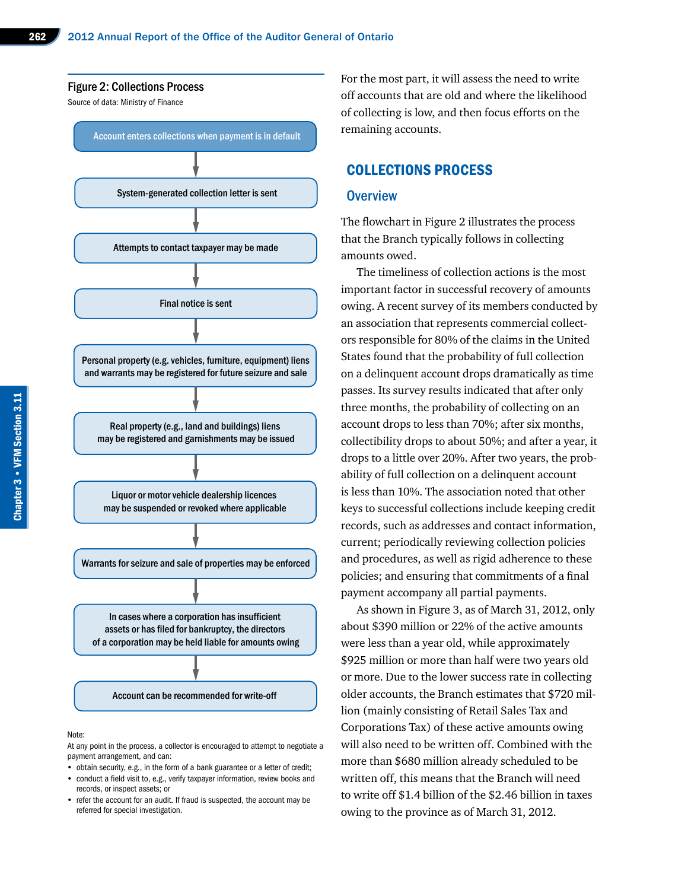

#### Note:

At any point in the process, a collector is encouraged to attempt to negotiate a payment arrangement, and can:

- obtain security, e.g., in the form of a bank guarantee or a letter of credit;
- • conduct a field visit to, e.g., verify taxpayer information, review books and records, or inspect assets; or
- refer the account for an audit. If fraud is suspected, the account may be referred for special investigation.

For the most part, it will assess the need to write off accounts that are old and where the likelihood of collecting is low, and then focus efforts on the remaining accounts.

#### COLLECTIONS PROCESS

#### **Overview**

The flowchart in Figure 2 illustrates the process that the Branch typically follows in collecting amounts owed.

The timeliness of collection actions is the most important factor in successful recovery of amounts owing. A recent survey of its members conducted by an association that represents commercial collectors responsible for 80% of the claims in the United States found that the probability of full collection on a delinquent account drops dramatically as time passes. Its survey results indicated that after only three months, the probability of collecting on an account drops to less than 70%; after six months, collectibility drops to about 50%; and after a year, it drops to a little over 20%. After two years, the probability of full collection on a delinquent account is less than 10%. The association noted that other keys to successful collections include keeping credit records, such as addresses and contact information, current; periodically reviewing collection policies and procedures, as well as rigid adherence to these policies; and ensuring that commitments of a final payment accompany all partial payments.

As shown in Figure 3, as of March 31, 2012, only about \$390 million or 22% of the active amounts were less than a year old, while approximately \$925 million or more than half were two years old or more. Due to the lower success rate in collecting older accounts, the Branch estimates that \$720 million (mainly consisting of Retail Sales Tax and Corporations Tax) of these active amounts owing will also need to be written off. Combined with the more than \$680 million already scheduled to be written off, this means that the Branch will need to write off \$1.4 billion of the \$2.46 billion in taxes owing to the province as of March 31, 2012.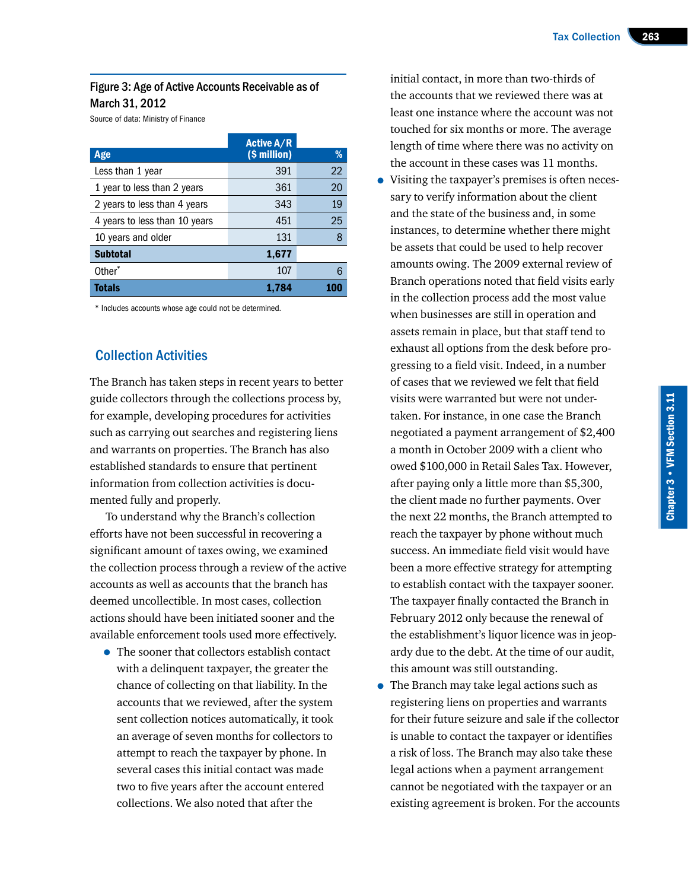## Figure 3: Age of Active Accounts Receivable as of March 31, 2012

Source of data: Ministry of Finance

|                               | <b>Active A/R</b> |    |
|-------------------------------|-------------------|----|
| Age                           | (\$ million)      | %  |
| Less than 1 year              | 391               | 22 |
| 1 year to less than 2 years   | 361               | 20 |
| 2 years to less than 4 years  | 343               | 19 |
| 4 years to less than 10 years | 451               | 25 |
| 10 years and older            | 131               | 8  |
| <b>Subtotal</b>               | 1,677             |    |
| Other*                        | 107               | 6  |
| Totals                        | 1,784             |    |

\* Includes accounts whose age could not be determined.

# Collection Activities

The Branch has taken steps in recent years to better guide collectors through the collections process by, for example, developing procedures for activities such as carrying out searches and registering liens and warrants on properties. The Branch has also established standards to ensure that pertinent information from collection activities is documented fully and properly.

To understand why the Branch's collection efforts have not been successful in recovering a significant amount of taxes owing, we examined the collection process through a review of the active accounts as well as accounts that the branch has deemed uncollectible. In most cases, collection actions should have been initiated sooner and the available enforcement tools used more effectively.

• The sooner that collectors establish contact with a delinquent taxpayer, the greater the chance of collecting on that liability. In the accounts that we reviewed, after the system sent collection notices automatically, it took an average of seven months for collectors to attempt to reach the taxpayer by phone. In several cases this initial contact was made two to five years after the account entered collections. We also noted that after the

initial contact, in more than two-thirds of the accounts that we reviewed there was at least one instance where the account was not touched for six months or more. The average length of time where there was no activity on the account in these cases was 11 months.

- Visiting the taxpayer's premises is often necessary to verify information about the client and the state of the business and, in some instances, to determine whether there might be assets that could be used to help recover amounts owing. The 2009 external review of Branch operations noted that field visits early in the collection process add the most value when businesses are still in operation and assets remain in place, but that staff tend to exhaust all options from the desk before progressing to a field visit. Indeed, in a number of cases that we reviewed we felt that field visits were warranted but were not undertaken. For instance, in one case the Branch negotiated a payment arrangement of \$2,400 a month in October 2009 with a client who owed \$100,000 in Retail Sales Tax. However, after paying only a little more than \$5,300, the client made no further payments. Over the next 22 months, the Branch attempted to reach the taxpayer by phone without much success. An immediate field visit would have been a more effective strategy for attempting to establish contact with the taxpayer sooner. The taxpayer finally contacted the Branch in February 2012 only because the renewal of the establishment's liquor licence was in jeopardy due to the debt. At the time of our audit, this amount was still outstanding.
- The Branch may take legal actions such as registering liens on properties and warrants for their future seizure and sale if the collector is unable to contact the taxpayer or identifies a risk of loss. The Branch may also take these legal actions when a payment arrangement cannot be negotiated with the taxpayer or an existing agreement is broken. For the accounts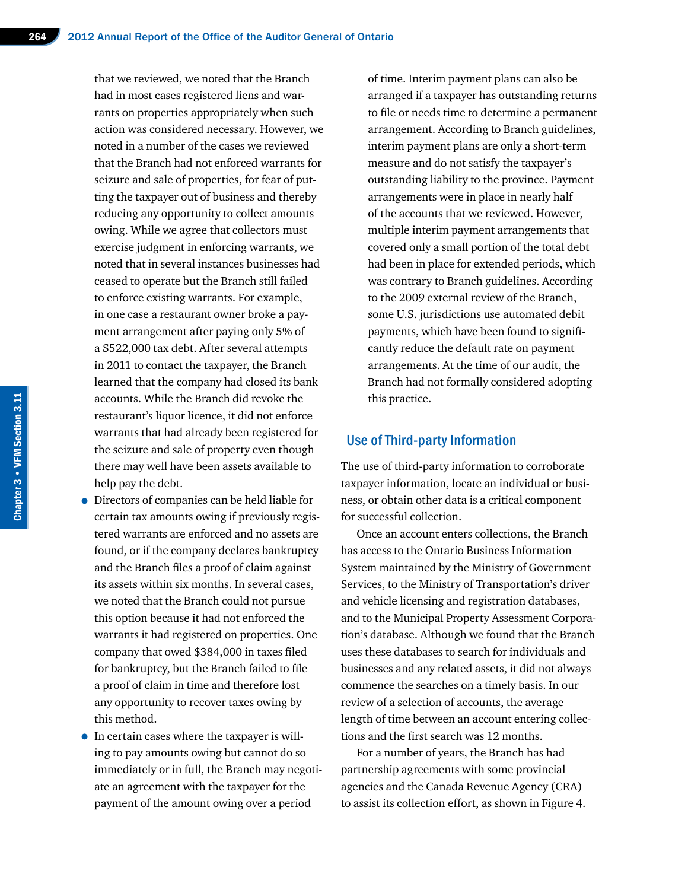that we reviewed, we noted that the Branch had in most cases registered liens and warrants on properties appropriately when such action was considered necessary. However, we noted in a number of the cases we reviewed that the Branch had not enforced warrants for seizure and sale of properties, for fear of putting the taxpayer out of business and thereby reducing any opportunity to collect amounts owing. While we agree that collectors must exercise judgment in enforcing warrants, we noted that in several instances businesses had ceased to operate but the Branch still failed to enforce existing warrants. For example, in one case a restaurant owner broke a payment arrangement after paying only 5% of a \$522,000 tax debt. After several attempts in 2011 to contact the taxpayer, the Branch learned that the company had closed its bank accounts. While the Branch did revoke the restaurant's liquor licence, it did not enforce warrants that had already been registered for the seizure and sale of property even though there may well have been assets available to help pay the debt.

- Directors of companies can be held liable for certain tax amounts owing if previously registered warrants are enforced and no assets are found, or if the company declares bankruptcy and the Branch files a proof of claim against its assets within six months. In several cases, we noted that the Branch could not pursue this option because it had not enforced the warrants it had registered on properties. One company that owed \$384,000 in taxes filed for bankruptcy, but the Branch failed to file a proof of claim in time and therefore lost any opportunity to recover taxes owing by this method.
- In certain cases where the taxpayer is willing to pay amounts owing but cannot do so immediately or in full, the Branch may negotiate an agreement with the taxpayer for the payment of the amount owing over a period

of time. Interim payment plans can also be arranged if a taxpayer has outstanding returns to file or needs time to determine a permanent arrangement. According to Branch guidelines, interim payment plans are only a short-term measure and do not satisfy the taxpayer's outstanding liability to the province. Payment arrangements were in place in nearly half of the accounts that we reviewed. However, multiple interim payment arrangements that covered only a small portion of the total debt had been in place for extended periods, which was contrary to Branch guidelines. According to the 2009 external review of the Branch, some U.S. jurisdictions use automated debit payments, which have been found to significantly reduce the default rate on payment arrangements. At the time of our audit, the Branch had not formally considered adopting this practice.

#### Use of Third-party Information

The use of third-party information to corroborate taxpayer information, locate an individual or business, or obtain other data is a critical component for successful collection.

Once an account enters collections, the Branch has access to the Ontario Business Information System maintained by the Ministry of Government Services, to the Ministry of Transportation's driver and vehicle licensing and registration databases, and to the Municipal Property Assessment Corporation's database. Although we found that the Branch uses these databases to search for individuals and businesses and any related assets, it did not always commence the searches on a timely basis. In our review of a selection of accounts, the average length of time between an account entering collections and the first search was 12 months.

For a number of years, the Branch has had partnership agreements with some provincial agencies and the Canada Revenue Agency (CRA) to assist its collection effort, as shown in Figure 4.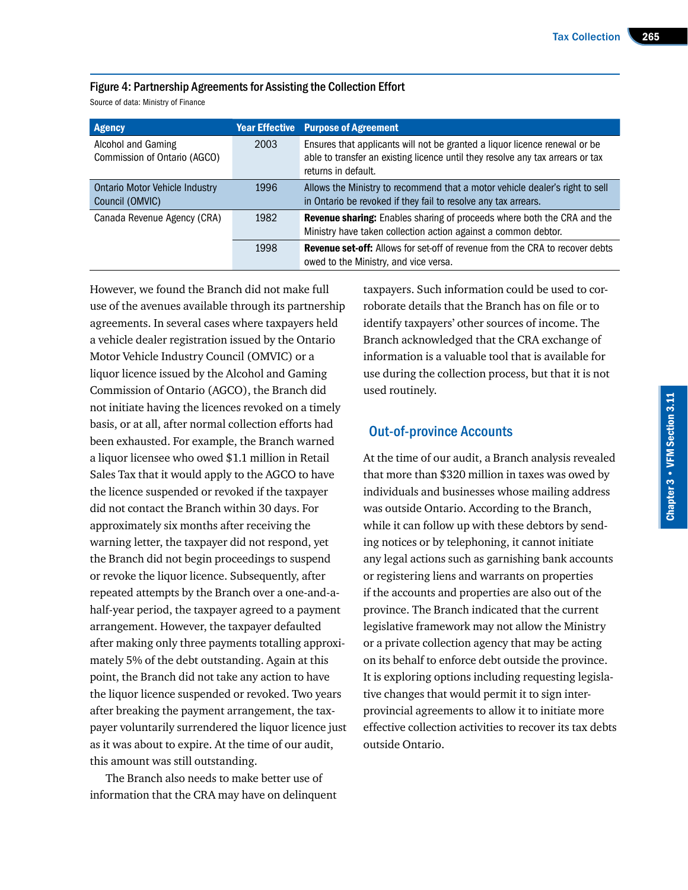#### Figure 4: Partnership Agreements for Assisting the Collection Effort

Source of data: Ministry of Finance

| <b>Agency</b>                                            | <b>Year Effective</b> | <b>Purpose of Agreement</b>                                                                                                                                                         |
|----------------------------------------------------------|-----------------------|-------------------------------------------------------------------------------------------------------------------------------------------------------------------------------------|
| Alcohol and Gaming<br>Commission of Ontario (AGCO)       | 2003                  | Ensures that applicants will not be granted a liquor licence renewal or be<br>able to transfer an existing licence until they resolve any tax arrears or tax<br>returns in default. |
| <b>Ontario Motor Vehicle Industry</b><br>Council (OMVIC) | 1996                  | Allows the Ministry to recommend that a motor vehicle dealer's right to sell<br>in Ontario be revoked if they fail to resolve any tax arrears.                                      |
| Canada Revenue Agency (CRA)                              | 1982                  | <b>Revenue sharing:</b> Enables sharing of proceeds where both the CRA and the<br>Ministry have taken collection action against a common debtor.                                    |
|                                                          | 1998                  | <b>Revenue set-off:</b> Allows for set-off of revenue from the CRA to recover debts<br>owed to the Ministry, and vice versa.                                                        |

However, we found the Branch did not make full use of the avenues available through its partnership agreements. In several cases where taxpayers held a vehicle dealer registration issued by the Ontario Motor Vehicle Industry Council (OMVIC) or a liquor licence issued by the Alcohol and Gaming Commission of Ontario (AGCO), the Branch did not initiate having the licences revoked on a timely basis, or at all, after normal collection efforts had been exhausted. For example, the Branch warned a liquor licensee who owed \$1.1 million in Retail Sales Tax that it would apply to the AGCO to have the licence suspended or revoked if the taxpayer did not contact the Branch within 30 days. For approximately six months after receiving the warning letter, the taxpayer did not respond, yet the Branch did not begin proceedings to suspend or revoke the liquor licence. Subsequently, after repeated attempts by the Branch over a one-and-ahalf-year period, the taxpayer agreed to a payment arrangement. However, the taxpayer defaulted after making only three payments totalling approximately 5% of the debt outstanding. Again at this point, the Branch did not take any action to have the liquor licence suspended or revoked. Two years after breaking the payment arrangement, the taxpayer voluntarily surrendered the liquor licence just as it was about to expire. At the time of our audit, this amount was still outstanding.

The Branch also needs to make better use of information that the CRA may have on delinquent

taxpayers. Such information could be used to corroborate details that the Branch has on file or to identify taxpayers' other sources of income. The Branch acknowledged that the CRA exchange of information is a valuable tool that is available for use during the collection process, but that it is not used routinely.

#### Out-of-province Accounts

At the time of our audit, a Branch analysis revealed that more than \$320 million in taxes was owed by individuals and businesses whose mailing address was outside Ontario. According to the Branch, while it can follow up with these debtors by sending notices or by telephoning, it cannot initiate any legal actions such as garnishing bank accounts or registering liens and warrants on properties if the accounts and properties are also out of the province. The Branch indicated that the current legislative framework may not allow the Ministry or a private collection agency that may be acting on its behalf to enforce debt outside the province. It is exploring options including requesting legislative changes that would permit it to sign interprovincial agreements to allow it to initiate more effective collection activities to recover its tax debts outside Ontario.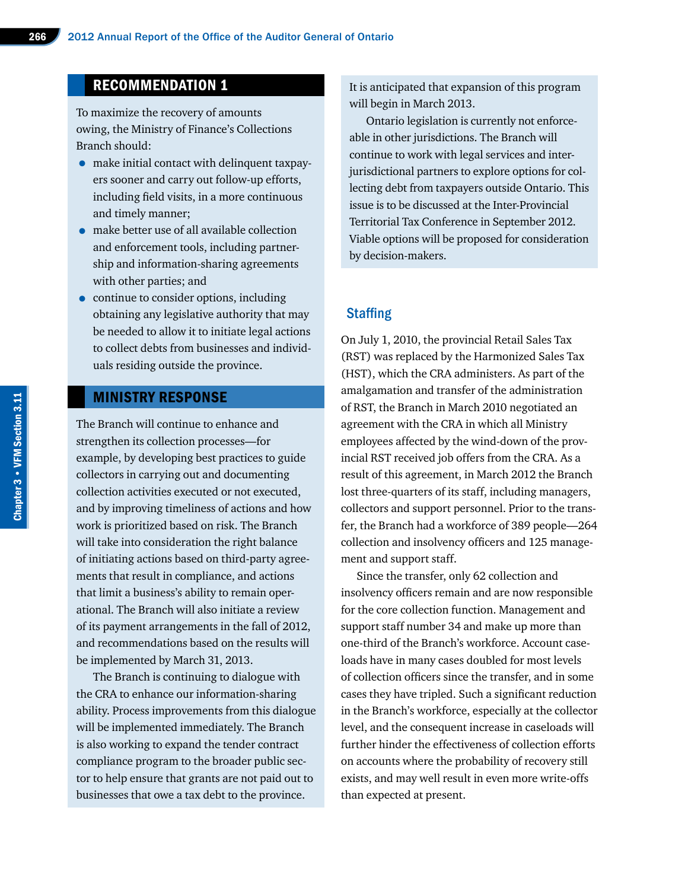# RECOMMENDATION 1

To maximize the recovery of amounts owing, the Ministry of Finance's Collections Branch should:

- make initial contact with delinquent taxpayers sooner and carry out follow-up efforts, including field visits, in a more continuous and timely manner;
- make better use of all available collection and enforcement tools, including partnership and information-sharing agreements with other parties; and
- continue to consider options, including obtaining any legislative authority that may be needed to allow it to initiate legal actions to collect debts from businesses and individuals residing outside the province.

# MINISTRY RESPONSE

The Branch will continue to enhance and strengthen its collection processes—for example, by developing best practices to guide collectors in carrying out and documenting collection activities executed or not executed, and by improving timeliness of actions and how work is prioritized based on risk. The Branch will take into consideration the right balance of initiating actions based on third-party agreements that result in compliance, and actions that limit a business's ability to remain operational. The Branch will also initiate a review of its payment arrangements in the fall of 2012, and recommendations based on the results will be implemented by March 31, 2013.

The Branch is continuing to dialogue with the CRA to enhance our information-sharing ability. Process improvements from this dialogue will be implemented immediately. The Branch is also working to expand the tender contract compliance program to the broader public sector to help ensure that grants are not paid out to businesses that owe a tax debt to the province.

It is anticipated that expansion of this program will begin in March 2013.

Ontario legislation is currently not enforceable in other jurisdictions. The Branch will continue to work with legal services and interjurisdictional partners to explore options for collecting debt from taxpayers outside Ontario. This issue is to be discussed at the Inter-Provincial Territorial Tax Conference in September 2012. Viable options will be proposed for consideration by decision-makers.

#### **Staffing**

On July 1, 2010, the provincial Retail Sales Tax (RST) was replaced by the Harmonized Sales Tax (HST), which the CRA administers. As part of the amalgamation and transfer of the administration of RST, the Branch in March 2010 negotiated an agreement with the CRA in which all Ministry employees affected by the wind-down of the provincial RST received job offers from the CRA. As a result of this agreement, in March 2012 the Branch lost three-quarters of its staff, including managers, collectors and support personnel. Prior to the transfer, the Branch had a workforce of 389 people—264 collection and insolvency officers and 125 management and support staff.

Since the transfer, only 62 collection and insolvency officers remain and are now responsible for the core collection function. Management and support staff number 34 and make up more than one-third of the Branch's workforce. Account caseloads have in many cases doubled for most levels of collection officers since the transfer, and in some cases they have tripled. Such a significant reduction in the Branch's workforce, especially at the collector level, and the consequent increase in caseloads will further hinder the effectiveness of collection efforts on accounts where the probability of recovery still exists, and may well result in even more write-offs than expected at present.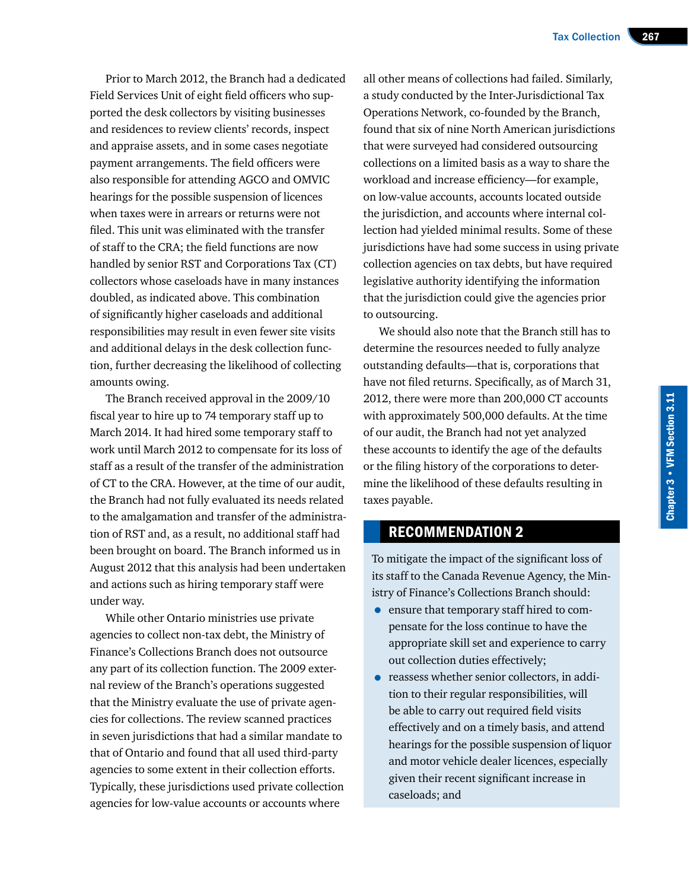Prior to March 2012, the Branch had a dedicated Field Services Unit of eight field officers who supported the desk collectors by visiting businesses and residences to review clients' records, inspect and appraise assets, and in some cases negotiate payment arrangements. The field officers were also responsible for attending AGCO and OMVIC hearings for the possible suspension of licences when taxes were in arrears or returns were not filed. This unit was eliminated with the transfer of staff to the CRA; the field functions are now handled by senior RST and Corporations Tax (CT) collectors whose caseloads have in many instances doubled, as indicated above. This combination of significantly higher caseloads and additional responsibilities may result in even fewer site visits and additional delays in the desk collection function, further decreasing the likelihood of collecting amounts owing.

The Branch received approval in the 2009/10 fiscal year to hire up to 74 temporary staff up to March 2014. It had hired some temporary staff to work until March 2012 to compensate for its loss of staff as a result of the transfer of the administration of CT to the CRA. However, at the time of our audit, the Branch had not fully evaluated its needs related to the amalgamation and transfer of the administration of RST and, as a result, no additional staff had been brought on board. The Branch informed us in August 2012 that this analysis had been undertaken and actions such as hiring temporary staff were under way.

While other Ontario ministries use private agencies to collect non-tax debt, the Ministry of Finance's Collections Branch does not outsource any part of its collection function. The 2009 external review of the Branch's operations suggested that the Ministry evaluate the use of private agencies for collections. The review scanned practices in seven jurisdictions that had a similar mandate to that of Ontario and found that all used third-party agencies to some extent in their collection efforts. Typically, these jurisdictions used private collection agencies for low-value accounts or accounts where

all other means of collections had failed. Similarly, a study conducted by the Inter-Jurisdictional Tax Operations Network, co-founded by the Branch, found that six of nine North American jurisdictions that were surveyed had considered outsourcing collections on a limited basis as a way to share the workload and increase efficiency—for example, on low-value accounts, accounts located outside the jurisdiction, and accounts where internal collection had yielded minimal results. Some of these jurisdictions have had some success in using private collection agencies on tax debts, but have required legislative authority identifying the information that the jurisdiction could give the agencies prior to outsourcing.

We should also note that the Branch still has to determine the resources needed to fully analyze outstanding defaults—that is, corporations that have not filed returns. Specifically, as of March 31, 2012, there were more than 200,000 CT accounts with approximately 500,000 defaults. At the time of our audit, the Branch had not yet analyzed these accounts to identify the age of the defaults or the filing history of the corporations to determine the likelihood of these defaults resulting in taxes payable.

# RECOMMENDATION 2

To mitigate the impact of the significant loss of its staff to the Canada Revenue Agency, the Ministry of Finance's Collections Branch should:

- ensure that temporary staff hired to compensate for the loss continue to have the appropriate skill set and experience to carry out collection duties effectively;
- reassess whether senior collectors, in addition to their regular responsibilities, will be able to carry out required field visits effectively and on a timely basis, and attend hearings for the possible suspension of liquor and motor vehicle dealer licences, especially given their recent significant increase in caseloads; and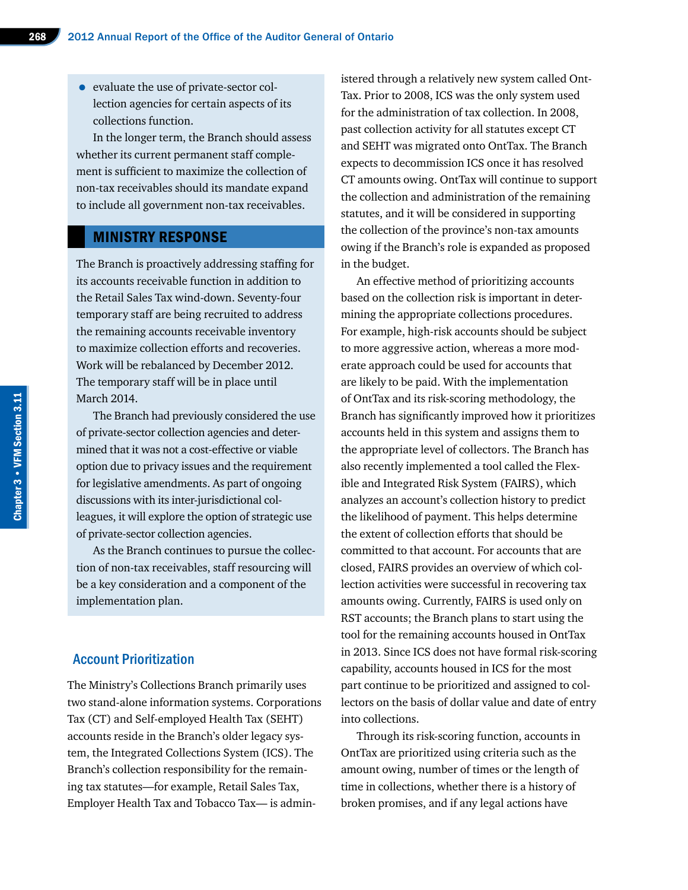• evaluate the use of private-sector collection agencies for certain aspects of its collections function.

In the longer term, the Branch should assess whether its current permanent staff complement is sufficient to maximize the collection of non-tax receivables should its mandate expand to include all government non-tax receivables.

## MINISTRY RESPONSE

The Branch is proactively addressing staffing for its accounts receivable function in addition to the Retail Sales Tax wind-down. Seventy-four temporary staff are being recruited to address the remaining accounts receivable inventory to maximize collection efforts and recoveries. Work will be rebalanced by December 2012. The temporary staff will be in place until March 2014.

The Branch had previously considered the use of private-sector collection agencies and determined that it was not a cost-effective or viable option due to privacy issues and the requirement for legislative amendments. As part of ongoing discussions with its inter-jurisdictional colleagues, it will explore the option of strategic use of private-sector collection agencies.

As the Branch continues to pursue the collection of non-tax receivables, staff resourcing will be a key consideration and a component of the implementation plan.

#### Account Prioritization

The Ministry's Collections Branch primarily uses two stand-alone information systems. Corporations Tax (CT) and Self-employed Health Tax (SEHT) accounts reside in the Branch's older legacy system, the Integrated Collections System (ICS). The Branch's collection responsibility for the remaining tax statutes—for example, Retail Sales Tax, Employer Health Tax and Tobacco Tax— is administered through a relatively new system called Ont-Tax. Prior to 2008, ICS was the only system used for the administration of tax collection. In 2008, past collection activity for all statutes except CT and SEHT was migrated onto OntTax. The Branch expects to decommission ICS once it has resolved CT amounts owing. OntTax will continue to support the collection and administration of the remaining statutes, and it will be considered in supporting the collection of the province's non-tax amounts owing if the Branch's role is expanded as proposed in the budget.

An effective method of prioritizing accounts based on the collection risk is important in determining the appropriate collections procedures. For example, high-risk accounts should be subject to more aggressive action, whereas a more moderate approach could be used for accounts that are likely to be paid. With the implementation of OntTax and its risk-scoring methodology, the Branch has significantly improved how it prioritizes accounts held in this system and assigns them to the appropriate level of collectors. The Branch has also recently implemented a tool called the Flexible and Integrated Risk System (FAIRS), which analyzes an account's collection history to predict the likelihood of payment. This helps determine the extent of collection efforts that should be committed to that account. For accounts that are closed, FAIRS provides an overview of which collection activities were successful in recovering tax amounts owing. Currently, FAIRS is used only on RST accounts; the Branch plans to start using the tool for the remaining accounts housed in OntTax in 2013. Since ICS does not have formal risk-scoring capability, accounts housed in ICS for the most part continue to be prioritized and assigned to collectors on the basis of dollar value and date of entry into collections.

Through its risk-scoring function, accounts in OntTax are prioritized using criteria such as the amount owing, number of times or the length of time in collections, whether there is a history of broken promises, and if any legal actions have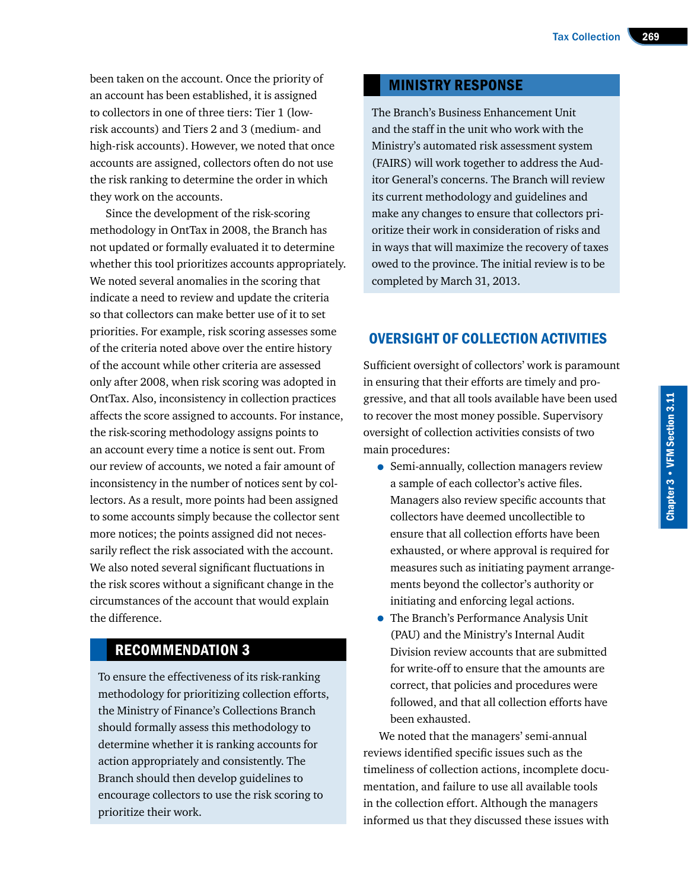been taken on the account. Once the priority of an account has been established, it is assigned to collectors in one of three tiers: Tier 1 (lowrisk accounts) and Tiers 2 and 3 (medium- and high-risk accounts). However, we noted that once accounts are assigned, collectors often do not use the risk ranking to determine the order in which they work on the accounts.

Since the development of the risk-scoring methodology in OntTax in 2008, the Branch has not updated or formally evaluated it to determine whether this tool prioritizes accounts appropriately. We noted several anomalies in the scoring that indicate a need to review and update the criteria so that collectors can make better use of it to set priorities. For example, risk scoring assesses some of the criteria noted above over the entire history of the account while other criteria are assessed only after 2008, when risk scoring was adopted in OntTax. Also, inconsistency in collection practices affects the score assigned to accounts. For instance, the risk-scoring methodology assigns points to an account every time a notice is sent out. From our review of accounts, we noted a fair amount of inconsistency in the number of notices sent by collectors. As a result, more points had been assigned to some accounts simply because the collector sent more notices; the points assigned did not necessarily reflect the risk associated with the account. We also noted several significant fluctuations in the risk scores without a significant change in the circumstances of the account that would explain the difference.

# RECOMMENDATION 3

To ensure the effectiveness of its risk-ranking methodology for prioritizing collection efforts, the Ministry of Finance's Collections Branch should formally assess this methodology to determine whether it is ranking accounts for action appropriately and consistently. The Branch should then develop guidelines to encourage collectors to use the risk scoring to prioritize their work.

## MINISTRY RESPONSE

The Branch's Business Enhancement Unit and the staff in the unit who work with the Ministry's automated risk assessment system (FAIRS) will work together to address the Auditor General's concerns. The Branch will review its current methodology and guidelines and make any changes to ensure that collectors prioritize their work in consideration of risks and in ways that will maximize the recovery of taxes owed to the province. The initial review is to be completed by March 31, 2013.

# OVERSIGHT OF COLLECTION ACTIVITIES

Sufficient oversight of collectors' work is paramount in ensuring that their efforts are timely and progressive, and that all tools available have been used to recover the most money possible. Supervisory oversight of collection activities consists of two main procedures:

- Semi-annually, collection managers review a sample of each collector's active files. Managers also review specific accounts that collectors have deemed uncollectible to ensure that all collection efforts have been exhausted, or where approval is required for measures such as initiating payment arrangements beyond the collector's authority or initiating and enforcing legal actions.
- The Branch's Performance Analysis Unit (PAU) and the Ministry's Internal Audit Division review accounts that are submitted for write-off to ensure that the amounts are correct, that policies and procedures were followed, and that all collection efforts have been exhausted.

We noted that the managers' semi-annual reviews identified specific issues such as the timeliness of collection actions, incomplete documentation, and failure to use all available tools in the collection effort. Although the managers informed us that they discussed these issues with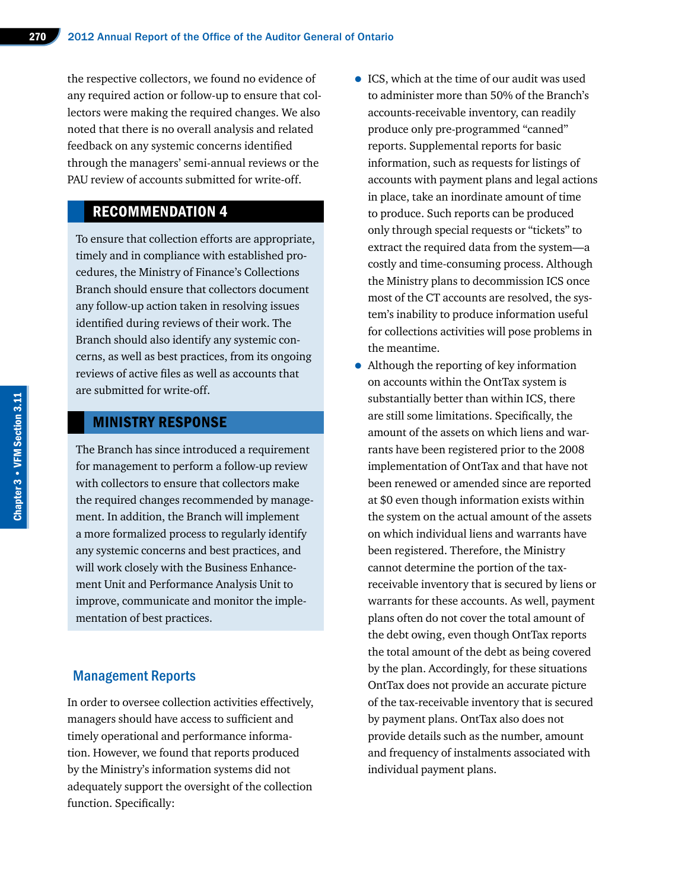the respective collectors, we found no evidence of any required action or follow-up to ensure that collectors were making the required changes. We also noted that there is no overall analysis and related feedback on any systemic concerns identified through the managers' semi-annual reviews or the PAU review of accounts submitted for write-off.

# RECOMMENDATION 4

To ensure that collection efforts are appropriate, timely and in compliance with established procedures, the Ministry of Finance's Collections Branch should ensure that collectors document any follow-up action taken in resolving issues identified during reviews of their work. The Branch should also identify any systemic concerns, as well as best practices, from its ongoing reviews of active files as well as accounts that are submitted for write-off.

## MINISTRY RESPONSE

The Branch has since introduced a requirement for management to perform a follow-up review with collectors to ensure that collectors make the required changes recommended by management. In addition, the Branch will implement a more formalized process to regularly identify any systemic concerns and best practices, and will work closely with the Business Enhancement Unit and Performance Analysis Unit to improve, communicate and monitor the implementation of best practices.

### Management Reports

In order to oversee collection activities effectively, managers should have access to sufficient and timely operational and performance information. However, we found that reports produced by the Ministry's information systems did not adequately support the oversight of the collection function. Specifically:

- ICS, which at the time of our audit was used to administer more than 50% of the Branch's accounts-receivable inventory, can readily produce only pre-programmed "canned" reports. Supplemental reports for basic information, such as requests for listings of accounts with payment plans and legal actions in place, take an inordinate amount of time to produce. Such reports can be produced only through special requests or "tickets" to extract the required data from the system—a costly and time-consuming process. Although the Ministry plans to decommission ICS once most of the CT accounts are resolved, the system's inability to produce information useful for collections activities will pose problems in the meantime.
- Although the reporting of key information on accounts within the OntTax system is substantially better than within ICS, there are still some limitations. Specifically, the amount of the assets on which liens and warrants have been registered prior to the 2008 implementation of OntTax and that have not been renewed or amended since are reported at \$0 even though information exists within the system on the actual amount of the assets on which individual liens and warrants have been registered. Therefore, the Ministry cannot determine the portion of the taxreceivable inventory that is secured by liens or warrants for these accounts. As well, payment plans often do not cover the total amount of the debt owing, even though OntTax reports the total amount of the debt as being covered by the plan. Accordingly, for these situations OntTax does not provide an accurate picture of the tax-receivable inventory that is secured by payment plans. OntTax also does not provide details such as the number, amount and frequency of instalments associated with individual payment plans.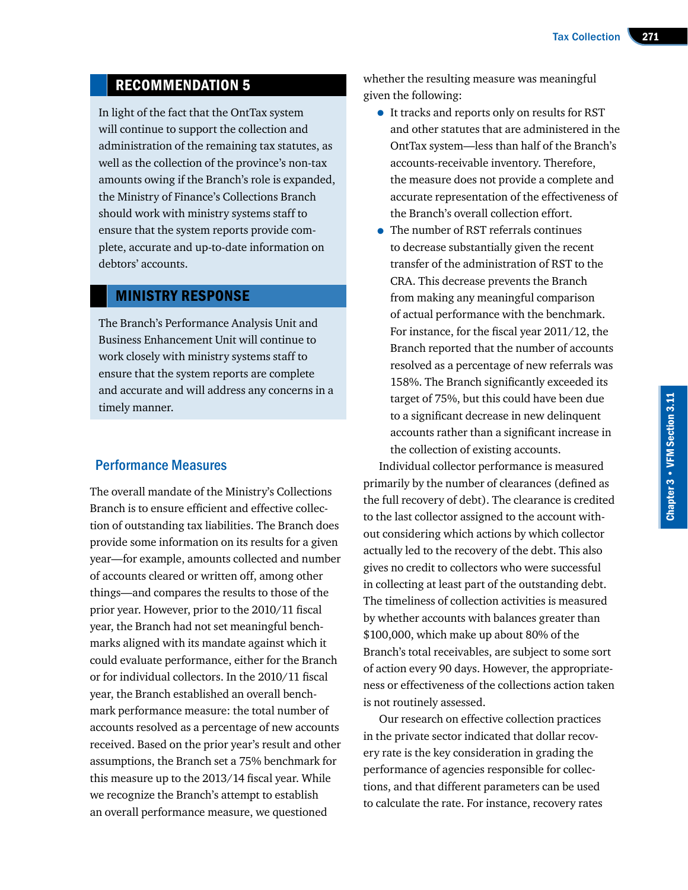# RECOMMENDATION 5

In light of the fact that the OntTax system will continue to support the collection and administration of the remaining tax statutes, as well as the collection of the province's non-tax amounts owing if the Branch's role is expanded, the Ministry of Finance's Collections Branch should work with ministry systems staff to ensure that the system reports provide complete, accurate and up-to-date information on debtors' accounts.

#### MINISTRY RESPONSE

The Branch's Performance Analysis Unit and Business Enhancement Unit will continue to work closely with ministry systems staff to ensure that the system reports are complete and accurate and will address any concerns in a timely manner.

#### Performance Measures

The overall mandate of the Ministry's Collections Branch is to ensure efficient and effective collection of outstanding tax liabilities. The Branch does provide some information on its results for a given year—for example, amounts collected and number of accounts cleared or written off, among other things—and compares the results to those of the prior year. However, prior to the 2010/11 fiscal year, the Branch had not set meaningful benchmarks aligned with its mandate against which it could evaluate performance, either for the Branch or for individual collectors. In the 2010/11 fiscal year, the Branch established an overall benchmark performance measure: the total number of accounts resolved as a percentage of new accounts received. Based on the prior year's result and other assumptions, the Branch set a 75% benchmark for this measure up to the 2013/14 fiscal year. While we recognize the Branch's attempt to establish an overall performance measure, we questioned

whether the resulting measure was meaningful given the following:

- It tracks and reports only on results for RST and other statutes that are administered in the OntTax system—less than half of the Branch's accounts-receivable inventory. Therefore, the measure does not provide a complete and accurate representation of the effectiveness of the Branch's overall collection effort.
- The number of RST referrals continues to decrease substantially given the recent transfer of the administration of RST to the CRA. This decrease prevents the Branch from making any meaningful comparison of actual performance with the benchmark. For instance, for the fiscal year 2011/12, the Branch reported that the number of accounts resolved as a percentage of new referrals was 158%. The Branch significantly exceeded its target of 75%, but this could have been due to a significant decrease in new delinquent accounts rather than a significant increase in the collection of existing accounts.

Individual collector performance is measured primarily by the number of clearances (defined as the full recovery of debt). The clearance is credited to the last collector assigned to the account without considering which actions by which collector actually led to the recovery of the debt. This also gives no credit to collectors who were successful in collecting at least part of the outstanding debt. The timeliness of collection activities is measured by whether accounts with balances greater than \$100,000, which make up about 80% of the Branch's total receivables, are subject to some sort of action every 90 days. However, the appropriateness or effectiveness of the collections action taken is not routinely assessed.

Our research on effective collection practices in the private sector indicated that dollar recovery rate is the key consideration in grading the performance of agencies responsible for collections, and that different parameters can be used to calculate the rate. For instance, recovery rates